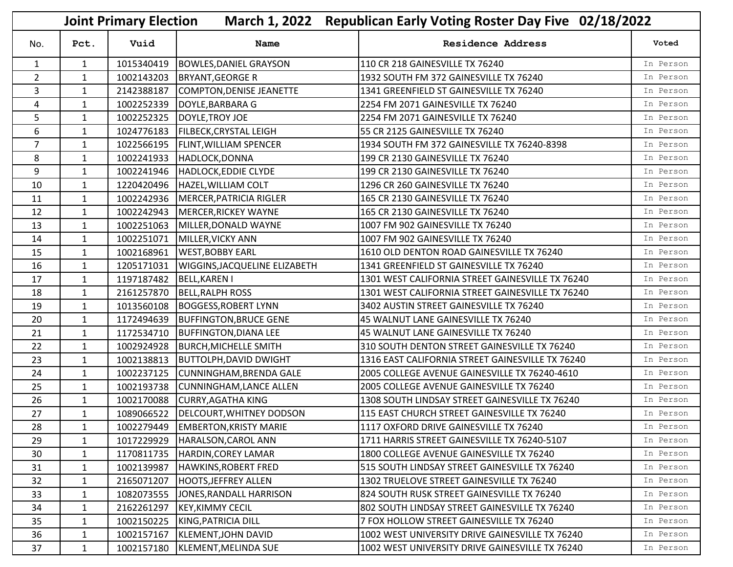|                | March 1, 2022 Republican Early Voting Roster Day Five 02/18/2022<br><b>Joint Primary Election</b> |            |                                      |                                                  |           |  |
|----------------|---------------------------------------------------------------------------------------------------|------------|--------------------------------------|--------------------------------------------------|-----------|--|
| No.            | Pct.                                                                                              | Vuid       | Name                                 | <b>Residence Address</b>                         | Voted     |  |
| $\mathbf{1}$   | $\mathbf{1}$                                                                                      | 1015340419 | <b>BOWLES, DANIEL GRAYSON</b>        | 110 CR 218 GAINESVILLE TX 76240                  | In Person |  |
| $\overline{2}$ | $\mathbf{1}$                                                                                      | 1002143203 | <b>BRYANT, GEORGE R</b>              | 1932 SOUTH FM 372 GAINESVILLE TX 76240           | In Person |  |
| 3              | $\mathbf{1}$                                                                                      | 2142388187 | COMPTON, DENISE JEANETTE             | 1341 GREENFIELD ST GAINESVILLE TX 76240          | In Person |  |
| 4              | $\mathbf{1}$                                                                                      | 1002252339 | DOYLE, BARBARA G                     | 2254 FM 2071 GAINESVILLE TX 76240                | In Person |  |
| 5              | $\mathbf{1}$                                                                                      | 1002252325 | DOYLE, TROY JOE                      | 2254 FM 2071 GAINESVILLE TX 76240                | In Person |  |
| 6              | $\mathbf{1}$                                                                                      | 1024776183 | <b>FILBECK, CRYSTAL LEIGH</b>        | 55 CR 2125 GAINESVILLE TX 76240                  | In Person |  |
| $\overline{7}$ | $\mathbf{1}$                                                                                      | 1022566195 | <b>FLINT, WILLIAM SPENCER</b>        | 1934 SOUTH FM 372 GAINESVILLE TX 76240-8398      | In Person |  |
| 8              | $\mathbf{1}$                                                                                      | 1002241933 | HADLOCK, DONNA                       | 199 CR 2130 GAINESVILLE TX 76240                 | In Person |  |
| 9              | $\mathbf{1}$                                                                                      | 1002241946 | HADLOCK, EDDIE CLYDE                 | 199 CR 2130 GAINESVILLE TX 76240                 | In Person |  |
| 10             | $\mathbf{1}$                                                                                      | 1220420496 | HAZEL, WILLIAM COLT                  | 1296 CR 260 GAINESVILLE TX 76240                 | In Person |  |
| 11             | $\mathbf{1}$                                                                                      | 1002242936 | MERCER, PATRICIA RIGLER              | 165 CR 2130 GAINESVILLE TX 76240                 | In Person |  |
| 12             | $\mathbf{1}$                                                                                      | 1002242943 | <b>MERCER, RICKEY WAYNE</b>          | 165 CR 2130 GAINESVILLE TX 76240                 | In Person |  |
| 13             | $\mathbf{1}$                                                                                      | 1002251063 | MILLER, DONALD WAYNE                 | 1007 FM 902 GAINESVILLE TX 76240                 | In Person |  |
| 14             | $\mathbf{1}$                                                                                      | 1002251071 | MILLER, VICKY ANN                    | 1007 FM 902 GAINESVILLE TX 76240                 | In Person |  |
| 15             | $\mathbf{1}$                                                                                      | 1002168961 | <b>WEST, BOBBY EARL</b>              | 1610 OLD DENTON ROAD GAINESVILLE TX 76240        | In Person |  |
| 16             | $\mathbf{1}$                                                                                      | 1205171031 | <b>WIGGINS, JACQUELINE ELIZABETH</b> | 1341 GREENFIELD ST GAINESVILLE TX 76240          | In Person |  |
| 17             | $\mathbf{1}$                                                                                      | 1197187482 | <b>BELL, KAREN I</b>                 | 1301 WEST CALIFORNIA STREET GAINESVILLE TX 76240 | In Person |  |
| 18             | $\mathbf{1}$                                                                                      | 2161257870 | <b>BELL, RALPH ROSS</b>              | 1301 WEST CALIFORNIA STREET GAINESVILLE TX 76240 | In Person |  |
| 19             | $\mathbf{1}$                                                                                      | 1013560108 | <b>BOGGESS, ROBERT LYNN</b>          | 3402 AUSTIN STREET GAINESVILLE TX 76240          | In Person |  |
| 20             | $\mathbf{1}$                                                                                      | 1172494639 | <b>BUFFINGTON, BRUCE GENE</b>        | 45 WALNUT LANE GAINESVILLE TX 76240              | In Person |  |
| 21             | $\mathbf{1}$                                                                                      | 1172534710 | <b>BUFFINGTON, DIANA LEE</b>         | 45 WALNUT LANE GAINESVILLE TX 76240              | In Person |  |
| 22             | $\mathbf{1}$                                                                                      | 1002924928 | <b>BURCH, MICHELLE SMITH</b>         | 310 SOUTH DENTON STREET GAINESVILLE TX 76240     | In Person |  |
| 23             | $\mathbf{1}$                                                                                      | 1002138813 | <b>BUTTOLPH, DAVID DWIGHT</b>        | 1316 EAST CALIFORNIA STREET GAINESVILLE TX 76240 | In Person |  |
| 24             | $\mathbf{1}$                                                                                      | 1002237125 | <b>CUNNINGHAM, BRENDA GALE</b>       | 2005 COLLEGE AVENUE GAINESVILLE TX 76240-4610    | In Person |  |
| 25             | $\mathbf{1}$                                                                                      | 1002193738 | <b>CUNNINGHAM, LANCE ALLEN</b>       | 2005 COLLEGE AVENUE GAINESVILLE TX 76240         | In Person |  |
| 26             | $\mathbf{1}$                                                                                      | 1002170088 | <b>CURRY, AGATHA KING</b>            | 1308 SOUTH LINDSAY STREET GAINESVILLE TX 76240   | In Person |  |
| 27             | $\mathbf{1}$                                                                                      | 1089066522 | DELCOURT, WHITNEY DODSON             | 115 EAST CHURCH STREET GAINESVILLE TX 76240      | In Person |  |
| 28             | $\mathbf{1}$                                                                                      |            | 1002279449 EMBERTON, KRISTY MARIE    | 1117 OXFORD DRIVE GAINESVILLE TX 76240           | In Person |  |
| 29             | $\mathbf{1}$                                                                                      | 1017229929 | HARALSON, CAROL ANN                  | 1711 HARRIS STREET GAINESVILLE TX 76240-5107     | In Person |  |
| 30             | $\mathbf{1}$                                                                                      | 1170811735 | HARDIN, COREY LAMAR                  | 1800 COLLEGE AVENUE GAINESVILLE TX 76240         | In Person |  |
| 31             | $\mathbf{1}$                                                                                      | 1002139987 | <b>HAWKINS, ROBERT FRED</b>          | 515 SOUTH LINDSAY STREET GAINESVILLE TX 76240    | In Person |  |
| 32             | $\mathbf{1}$                                                                                      | 2165071207 | <b>HOOTS, JEFFREY ALLEN</b>          | 1302 TRUELOVE STREET GAINESVILLE TX 76240        | In Person |  |
| 33             | 1                                                                                                 | 1082073555 | JONES, RANDALL HARRISON              | 824 SOUTH RUSK STREET GAINESVILLE TX 76240       | In Person |  |
| 34             | $\mathbf{1}$                                                                                      | 2162261297 | <b>KEY, KIMMY CECIL</b>              | 802 SOUTH LINDSAY STREET GAINESVILLE TX 76240    | In Person |  |
| 35             | $\mathbf{1}$                                                                                      | 1002150225 | KING, PATRICIA DILL                  | 7 FOX HOLLOW STREET GAINESVILLE TX 76240         | In Person |  |
| 36             | 1                                                                                                 | 1002157167 | KLEMENT, JOHN DAVID                  | 1002 WEST UNIVERSITY DRIVE GAINESVILLE TX 76240  | In Person |  |
| 37             | $\mathbf{1}$                                                                                      | 1002157180 | KLEMENT, MELINDA SUE                 | 1002 WEST UNIVERSITY DRIVE GAINESVILLE TX 76240  | In Person |  |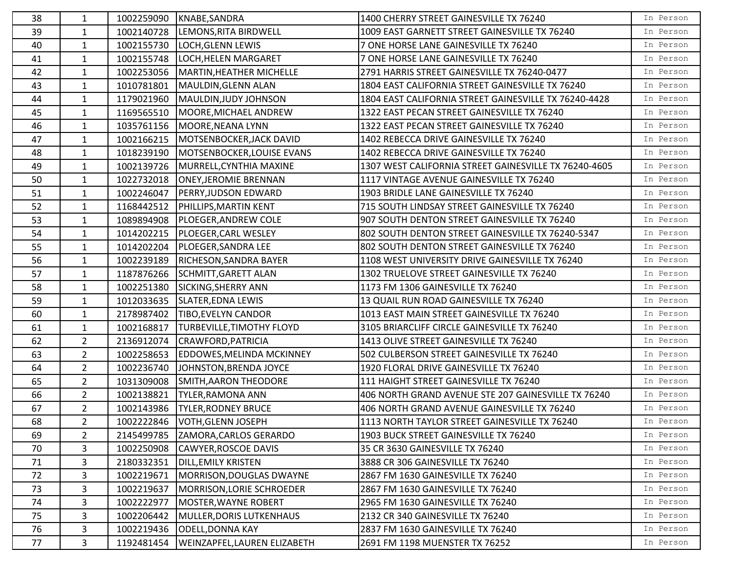| 38 | 1              |            | 1002259090 KNABE, SANDRA         | 1400 CHERRY STREET GAINESVILLE TX 76240               | In Person |
|----|----------------|------------|----------------------------------|-------------------------------------------------------|-----------|
| 39 | $\mathbf{1}$   | 1002140728 | LEMONS, RITA BIRDWELL            | 1009 EAST GARNETT STREET GAINESVILLE TX 76240         | In Person |
| 40 | $\mathbf{1}$   | 1002155730 | LOCH, GLENN LEWIS                | 7 ONE HORSE LANE GAINESVILLE TX 76240                 | In Person |
| 41 | $\mathbf{1}$   | 1002155748 | <b>LOCH, HELEN MARGARET</b>      | 7 ONE HORSE LANE GAINESVILLE TX 76240                 | In Person |
| 42 | $\mathbf{1}$   | 1002253056 | MARTIN, HEATHER MICHELLE         | 2791 HARRIS STREET GAINESVILLE TX 76240-0477          | In Person |
| 43 | 1              | 1010781801 | MAULDIN, GLENN ALAN              | 1804 EAST CALIFORNIA STREET GAINESVILLE TX 76240      | In Person |
| 44 | $\mathbf{1}$   | 1179021960 | MAULDIN, JUDY JOHNSON            | 1804 EAST CALIFORNIA STREET GAINESVILLE TX 76240-4428 | In Person |
| 45 | $\mathbf{1}$   | 1169565510 | MOORE, MICHAEL ANDREW            | 1322 EAST PECAN STREET GAINESVILLE TX 76240           | In Person |
| 46 | $\mathbf{1}$   | 1035761156 | MOORE, NEANA LYNN                | 1322 EAST PECAN STREET GAINESVILLE TX 76240           | In Person |
| 47 | $\mathbf{1}$   | 1002166215 | MOTSENBOCKER, JACK DAVID         | 1402 REBECCA DRIVE GAINESVILLE TX 76240               | In Person |
| 48 | $\mathbf{1}$   | 1018239190 | MOTSENBOCKER, LOUISE EVANS       | 1402 REBECCA DRIVE GAINESVILLE TX 76240               | In Person |
| 49 | $\mathbf{1}$   | 1002139726 | MURRELL, CYNTHIA MAXINE          | 1307 WEST CALIFORNIA STREET GAINESVILLE TX 76240-4605 | In Person |
| 50 | $\mathbf{1}$   | 1022732018 | <b>ONEY, JEROMIE BRENNAN</b>     | 1117 VINTAGE AVENUE GAINESVILLE TX 76240              | In Person |
| 51 | $\mathbf{1}$   | 1002246047 | <b>PERRY, JUDSON EDWARD</b>      | 1903 BRIDLE LANE GAINESVILLE TX 76240                 | In Person |
| 52 | $\mathbf{1}$   | 1168442512 | <b>PHILLIPS, MARTIN KENT</b>     | 715 SOUTH LINDSAY STREET GAINESVILLE TX 76240         | In Person |
| 53 | $\mathbf{1}$   | 1089894908 | <b>PLOEGER, ANDREW COLE</b>      | 907 SOUTH DENTON STREET GAINESVILLE TX 76240          | In Person |
| 54 | $\mathbf{1}$   | 1014202215 | <b>PLOEGER, CARL WESLEY</b>      | 802 SOUTH DENTON STREET GAINESVILLE TX 76240-5347     | In Person |
| 55 | $\mathbf{1}$   | 1014202204 | <b>PLOEGER, SANDRA LEE</b>       | 802 SOUTH DENTON STREET GAINESVILLE TX 76240          | In Person |
| 56 | $\mathbf{1}$   | 1002239189 | RICHESON, SANDRA BAYER           | 1108 WEST UNIVERSITY DRIVE GAINESVILLE TX 76240       | In Person |
| 57 | $\mathbf{1}$   | 1187876266 | SCHMITT, GARETT ALAN             | 1302 TRUELOVE STREET GAINESVILLE TX 76240             | In Person |
| 58 | $\mathbf{1}$   | 1002251380 | SICKING, SHERRY ANN              | 1173 FM 1306 GAINESVILLE TX 76240                     | In Person |
| 59 | $\mathbf{1}$   | 1012033635 | SLATER, EDNA LEWIS               | 13 QUAIL RUN ROAD GAINESVILLE TX 76240                | In Person |
| 60 | $\mathbf{1}$   | 2178987402 | <b>TIBO, EVELYN CANDOR</b>       | 1013 EAST MAIN STREET GAINESVILLE TX 76240            | In Person |
| 61 | $\mathbf{1}$   | 1002168817 | <b>TURBEVILLE, TIMOTHY FLOYD</b> | 3105 BRIARCLIFF CIRCLE GAINESVILLE TX 76240           | In Person |
| 62 | $\overline{2}$ | 2136912074 | CRAWFORD, PATRICIA               | 1413 OLIVE STREET GAINESVILLE TX 76240                | In Person |
| 63 | $\overline{2}$ | 1002258653 | <b>EDDOWES, MELINDA MCKINNEY</b> | 502 CULBERSON STREET GAINESVILLE TX 76240             | In Person |
| 64 | $\overline{2}$ | 1002236740 | JOHNSTON, BRENDA JOYCE           | 1920 FLORAL DRIVE GAINESVILLE TX 76240                | In Person |
| 65 | $\overline{2}$ | 1031309008 | SMITH, AARON THEODORE            | 111 HAIGHT STREET GAINESVILLE TX 76240                | In Person |
| 66 | $\overline{2}$ | 1002138821 | <b>TYLER, RAMONA ANN</b>         | 406 NORTH GRAND AVENUE STE 207 GAINESVILLE TX 76240   | In Person |
| 67 | $\overline{2}$ | 1002143986 | <b>TYLER, RODNEY BRUCE</b>       | 406 NORTH GRAND AVENUE GAINESVILLE TX 76240           | In Person |
| 68 | $\overline{2}$ |            | 1002222846 VOTH, GLENN JOSEPH    | 1113 NORTH TAYLOR STREET GAINESVILLE TX 76240         | In Person |
| 69 | $\overline{2}$ | 2145499785 | ZAMORA, CARLOS GERARDO           | 1903 BUCK STREET GAINESVILLE TX 76240                 | In Person |
| 70 | 3              | 1002250908 | CAWYER, ROSCOE DAVIS             | 35 CR 3630 GAINESVILLE TX 76240                       | In Person |
| 71 | 3              | 2180332351 | <b>DILL, EMILY KRISTEN</b>       | 3888 CR 306 GAINESVILLE TX 76240                      | In Person |
| 72 | 3              | 1002219671 | MORRISON, DOUGLAS DWAYNE         | 2867 FM 1630 GAINESVILLE TX 76240                     | In Person |
| 73 | 3              | 1002219637 | MORRISON, LORIE SCHROEDER        | 2867 FM 1630 GAINESVILLE TX 76240                     | In Person |
| 74 | 3              | 1002222977 | MOSTER, WAYNE ROBERT             | 2965 FM 1630 GAINESVILLE TX 76240                     | In Person |
| 75 | 3              | 1002206442 | MULLER, DORIS LUTKENHAUS         | 2132 CR 340 GAINESVILLE TX 76240                      | In Person |
| 76 | 3              | 1002219436 | <b>ODELL, DONNA KAY</b>          | 2837 FM 1630 GAINESVILLE TX 76240                     | In Person |
| 77 | 3              | 1192481454 | WEINZAPFEL, LAUREN ELIZABETH     | 2691 FM 1198 MUENSTER TX 76252                        | In Person |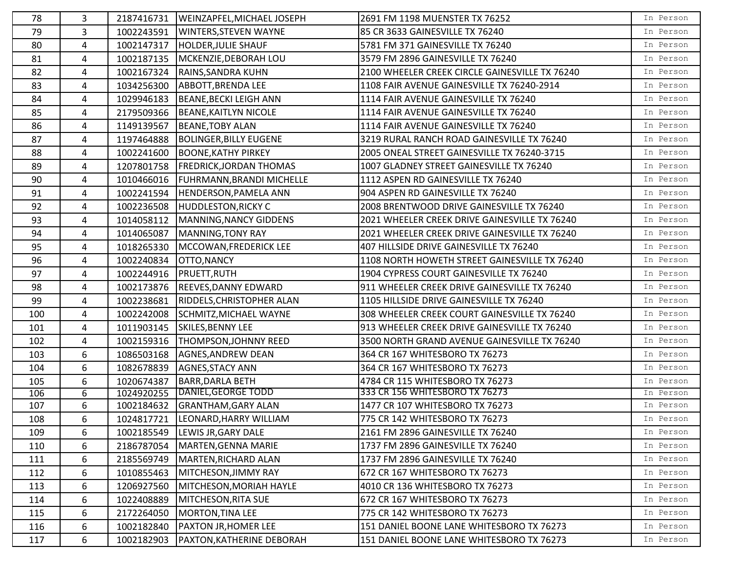| 78  | 3 | 2187416731 | WEINZAPFEL, MICHAEL JOSEPH       | 2691 FM 1198 MUENSTER TX 76252                 | In Person |
|-----|---|------------|----------------------------------|------------------------------------------------|-----------|
| 79  | 3 | 1002243591 | WINTERS, STEVEN WAYNE            | 85 CR 3633 GAINESVILLE TX 76240                | In Person |
| 80  | 4 | 1002147317 | HOLDER, JULIE SHAUF              | 5781 FM 371 GAINESVILLE TX 76240               | In Person |
| 81  | 4 | 1002187135 | MCKENZIE, DEBORAH LOU            | 3579 FM 2896 GAINESVILLE TX 76240              | In Person |
| 82  | 4 | 1002167324 | <b>RAINS, SANDRA KUHN</b>        | 2100 WHEELER CREEK CIRCLE GAINESVILLE TX 76240 | In Person |
| 83  | 4 | 1034256300 | ABBOTT, BRENDA LEE               | 1108 FAIR AVENUE GAINESVILLE TX 76240-2914     | In Person |
| 84  | 4 | 1029946183 | BEANE, BECKI LEIGH ANN           | 1114 FAIR AVENUE GAINESVILLE TX 76240          | In Person |
| 85  | 4 | 2179509366 | BEANE, KAITLYN NICOLE            | 1114 FAIR AVENUE GAINESVILLE TX 76240          | In Person |
| 86  | 4 | 1149139567 | <b>BEANE, TOBY ALAN</b>          | 1114 FAIR AVENUE GAINESVILLE TX 76240          | In Person |
| 87  | 4 | 1197464888 | <b>BOLINGER, BILLY EUGENE</b>    | 3219 RURAL RANCH ROAD GAINESVILLE TX 76240     | In Person |
| 88  | 4 | 1002241600 | <b>BOONE, KATHY PIRKEY</b>       | 2005 ONEAL STREET GAINESVILLE TX 76240-3715    | In Person |
| 89  | 4 | 1207801758 | <b>FREDRICK, JORDAN THOMAS</b>   | 1007 GLADNEY STREET GAINESVILLE TX 76240       | In Person |
| 90  | 4 | 1010466016 | <b>FUHRMANN, BRANDI MICHELLE</b> | 1112 ASPEN RD GAINESVILLE TX 76240             | In Person |
| 91  | 4 | 1002241594 | HENDERSON, PAMELA ANN            | 904 ASPEN RD GAINESVILLE TX 76240              | In Person |
| 92  | 4 | 1002236508 | <b>HUDDLESTON, RICKY C</b>       | 2008 BRENTWOOD DRIVE GAINESVILLE TX 76240      | In Person |
| 93  | 4 | 1014058112 | MANNING, NANCY GIDDENS           | 2021 WHEELER CREEK DRIVE GAINESVILLE TX 76240  | In Person |
| 94  | 4 | 1014065087 | MANNING, TONY RAY                | 2021 WHEELER CREEK DRIVE GAINESVILLE TX 76240  | In Person |
| 95  | 4 | 1018265330 | MCCOWAN, FREDERICK LEE           | 407 HILLSIDE DRIVE GAINESVILLE TX 76240        | In Person |
| 96  | 4 | 1002240834 | OTTO, NANCY                      | 1108 NORTH HOWETH STREET GAINESVILLE TX 76240  | In Person |
| 97  | 4 | 1002244916 | <b>PRUETT, RUTH</b>              | 1904 CYPRESS COURT GAINESVILLE TX 76240        | In Person |
| 98  | 4 | 1002173876 | <b>REEVES, DANNY EDWARD</b>      | 911 WHEELER CREEK DRIVE GAINESVILLE TX 76240   | In Person |
| 99  | 4 | 1002238681 | RIDDELS, CHRISTOPHER ALAN        | 1105 HILLSIDE DRIVE GAINESVILLE TX 76240       | In Person |
| 100 | 4 | 1002242008 | SCHMITZ, MICHAEL WAYNE           | 308 WHEELER CREEK COURT GAINESVILLE TX 76240   | In Person |
| 101 | 4 | 1011903145 | SKILES, BENNY LEE                | 913 WHEELER CREEK DRIVE GAINESVILLE TX 76240   | In Person |
| 102 | 4 | 1002159316 | THOMPSON, JOHNNY REED            | 3500 NORTH GRAND AVENUE GAINESVILLE TX 76240   | In Person |
| 103 | 6 | 1086503168 | AGNES, ANDREW DEAN               | 364 CR 167 WHITESBORO TX 76273                 | In Person |
| 104 | 6 | 1082678839 | <b>AGNES, STACY ANN</b>          | 364 CR 167 WHITESBORO TX 76273                 | In Person |
| 105 | 6 | 1020674387 | <b>BARR, DARLA BETH</b>          | 4784 CR 115 WHITESBORO TX 76273                | In Person |
| 106 | 6 | 1024920255 | DANIEL, GEORGE TODD              | 333 CR 156 WHITESBORO TX 76273                 | In Person |
| 107 | 6 | 1002184632 | <b>GRANTHAM, GARY ALAN</b>       | 1477 CR 107 WHITESBORO TX 76273                | In Person |
| 108 | 6 | 1024817721 | LEONARD, HARRY WILLIAM           | 775 CR 142 WHITESBORO TX 76273                 | In Person |
| 109 | 6 | 1002185549 | LEWIS JR, GARY DALE              | 2161 FM 2896 GAINESVILLE TX 76240              | In Person |
| 110 | 6 | 2186787054 | MARTEN, GENNA MARIE              | 1737 FM 2896 GAINESVILLE TX 76240              | In Person |
| 111 | 6 | 2185569749 | MARTEN, RICHARD ALAN             | 1737 FM 2896 GAINESVILLE TX 76240              | In Person |
| 112 | 6 | 1010855463 | <b>MITCHESON, JIMMY RAY</b>      | 672 CR 167 WHITESBORO TX 76273                 | In Person |
| 113 | 6 | 1206927560 | MITCHESON, MORIAH HAYLE          | 4010 CR 136 WHITESBORO TX 76273                | In Person |
| 114 | 6 | 1022408889 | MITCHESON, RITA SUE              | 672 CR 167 WHITESBORO TX 76273                 | In Person |
| 115 | 6 | 2172264050 | MORTON, TINA LEE                 | 775 CR 142 WHITESBORO TX 76273                 | In Person |
| 116 | 6 | 1002182840 | <b>PAXTON JR, HOMER LEE</b>      | 151 DANIEL BOONE LANE WHITESBORO TX 76273      | In Person |
| 117 | 6 | 1002182903 | <b>PAXTON, KATHERINE DEBORAH</b> | 151 DANIEL BOONE LANE WHITESBORO TX 76273      | In Person |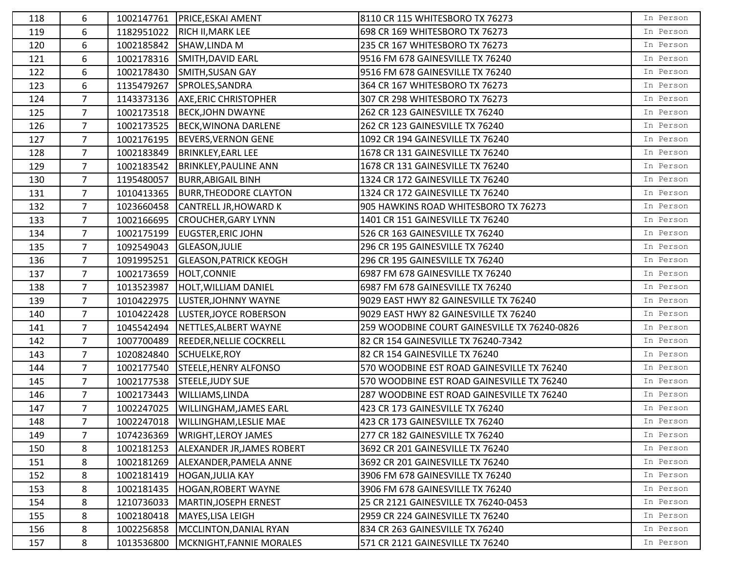| 118 | 6              |            | 1002147761   PRICE, ESKAI AMENT     | 8110 CR 115 WHITESBORO TX 76273              | In Person |
|-----|----------------|------------|-------------------------------------|----------------------------------------------|-----------|
| 119 | 6              | 1182951022 | RICH II, MARK LEE                   | 698 CR 169 WHITESBORO TX 76273               | In Person |
| 120 | 6              | 1002185842 | SHAW, LINDA M                       | 235 CR 167 WHITESBORO TX 76273               | In Person |
| 121 | 6              | 1002178316 | SMITH, DAVID EARL                   | 9516 FM 678 GAINESVILLE TX 76240             | In Person |
| 122 | 6              | 1002178430 | SMITH, SUSAN GAY                    | 9516 FM 678 GAINESVILLE TX 76240             | In Person |
| 123 | 6              | 1135479267 | SPROLES, SANDRA                     | 364 CR 167 WHITESBORO TX 76273               | In Person |
| 124 | $\overline{7}$ | 1143373136 | <b>AXE, ERIC CHRISTOPHER</b>        | 307 CR 298 WHITESBORO TX 76273               | In Person |
| 125 | 7              | 1002173518 | <b>BECK, JOHN DWAYNE</b>            | 262 CR 123 GAINESVILLE TX 76240              | In Person |
| 126 | $\overline{7}$ | 1002173525 | BECK, WINONA DARLENE                | 262 CR 123 GAINESVILLE TX 76240              | In Person |
| 127 | $\overline{7}$ |            | 1002176195  BEVERS, VERNON GENE     | 1092 CR 194 GAINESVILLE TX 76240             | In Person |
| 128 | $\overline{7}$ | 1002183849 | BRINKLEY, EARL LEE                  | 1678 CR 131 GAINESVILLE TX 76240             | In Person |
| 129 | $\overline{7}$ | 1002183542 | <b>BRINKLEY, PAULINE ANN</b>        | 1678 CR 131 GAINESVILLE TX 76240             | In Person |
| 130 | 7              | 1195480057 | <b>BURR, ABIGAIL BINH</b>           | 1324 CR 172 GAINESVILLE TX 76240             | In Person |
| 131 | $\overline{7}$ | 1010413365 | <b>BURR, THEODORE CLAYTON</b>       | 1324 CR 172 GAINESVILLE TX 76240             | In Person |
| 132 | $\overline{7}$ | 1023660458 | CANTRELL JR, HOWARD K               | 905 HAWKINS ROAD WHITESBORO TX 76273         | In Person |
| 133 | $\overline{7}$ | 1002166695 | <b>CROUCHER, GARY LYNN</b>          | 1401 CR 151 GAINESVILLE TX 76240             | In Person |
| 134 | $\overline{7}$ | 1002175199 | <b>EUGSTER, ERIC JOHN</b>           | 526 CR 163 GAINESVILLE TX 76240              | In Person |
| 135 | $\overline{7}$ | 1092549043 | <b>GLEASON, JULIE</b>               | 296 CR 195 GAINESVILLE TX 76240              | In Person |
| 136 | $\overline{7}$ | 1091995251 | <b>GLEASON, PATRICK KEOGH</b>       | 296 CR 195 GAINESVILLE TX 76240              | In Person |
| 137 | 7              | 1002173659 | HOLT, CONNIE                        | 6987 FM 678 GAINESVILLE TX 76240             | In Person |
| 138 | $\overline{7}$ | 1013523987 | HOLT, WILLIAM DANIEL                | 6987 FM 678 GAINESVILLE TX 76240             | In Person |
| 139 | $\overline{7}$ | 1010422975 | LUSTER, JOHNNY WAYNE                | 9029 EAST HWY 82 GAINESVILLE TX 76240        | In Person |
| 140 | $\overline{7}$ | 1010422428 | <b>LUSTER, JOYCE ROBERSON</b>       | 9029 EAST HWY 82 GAINESVILLE TX 76240        | In Person |
| 141 | $\overline{7}$ |            | 1045542494 NETTLES, ALBERT WAYNE    | 259 WOODBINE COURT GAINESVILLE TX 76240-0826 | In Person |
| 142 | $\overline{7}$ | 1007700489 | <b>REEDER, NELLIE COCKRELL</b>      | 82 CR 154 GAINESVILLE TX 76240-7342          | In Person |
| 143 | $\overline{7}$ | 1020824840 | SCHUELKE, ROY                       | 82 CR 154 GAINESVILLE TX 76240               | In Person |
| 144 | $\overline{7}$ | 1002177540 | STEELE, HENRY ALFONSO               | 570 WOODBINE EST ROAD GAINESVILLE TX 76240   | In Person |
| 145 | $\overline{7}$ | 1002177538 | STEELE, JUDY SUE                    | 570 WOODBINE EST ROAD GAINESVILLE TX 76240   | In Person |
| 146 | $\overline{7}$ | 1002173443 | WILLIAMS, LINDA                     | 287 WOODBINE EST ROAD GAINESVILLE TX 76240   | In Person |
| 147 | $\overline{7}$ | 1002247025 | <b>WILLINGHAM, JAMES EARL</b>       | 423 CR 173 GAINESVILLE TX 76240              | In Person |
| 148 | $\overline{7}$ |            | 1002247018   WILLINGHAM, LESLIE MAE | 423 CR 173 GAINESVILLE TX 76240              | In Person |
| 149 | 7              | 1074236369 | <b>WRIGHT, LEROY JAMES</b>          | 277 CR 182 GAINESVILLE TX 76240              | In Person |
| 150 | 8              | 1002181253 | ALEXANDER JR, JAMES ROBERT          | 3692 CR 201 GAINESVILLE TX 76240             | In Person |
| 151 | 8              | 1002181269 | ALEXANDER, PAMELA ANNE              | 3692 CR 201 GAINESVILLE TX 76240             | In Person |
| 152 | 8              | 1002181419 | <b>HOGAN, JULIA KAY</b>             | 3906 FM 678 GAINESVILLE TX 76240             | In Person |
| 153 | 8              | 1002181435 | HOGAN, ROBERT WAYNE                 | 3906 FM 678 GAINESVILLE TX 76240             | In Person |
| 154 | 8              | 1210736033 | MARTIN, JOSEPH ERNEST               | 25 CR 2121 GAINESVILLE TX 76240-0453         | In Person |
| 155 | 8              | 1002180418 | MAYES, LISA LEIGH                   | 2959 CR 224 GAINESVILLE TX 76240             | In Person |
| 156 | 8              | 1002256858 | MCCLINTON, DANIAL RYAN              | 834 CR 263 GAINESVILLE TX 76240              | In Person |
| 157 | 8              | 1013536800 | MCKNIGHT, FANNIE MORALES            | 571 CR 2121 GAINESVILLE TX 76240             | In Person |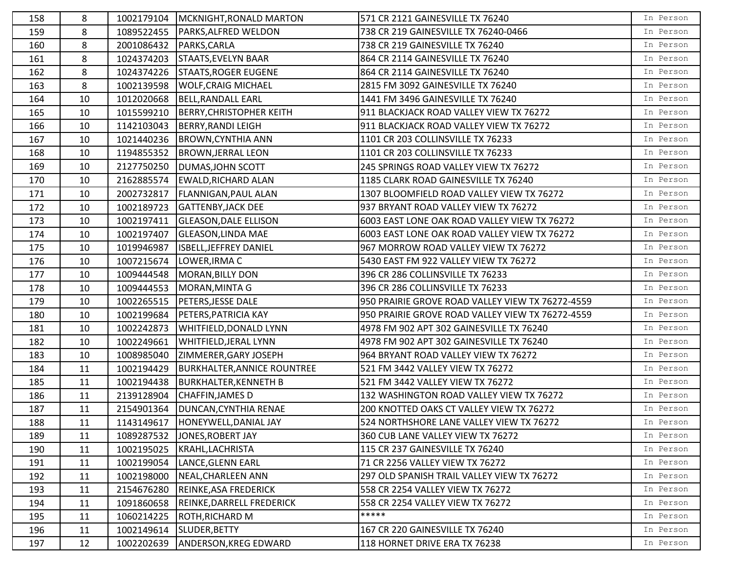| 158 | 8  |            | 1002179104   MCKNIGHT, RONALD MARTON | 571 CR 2121 GAINESVILLE TX 76240                 | In Person |
|-----|----|------------|--------------------------------------|--------------------------------------------------|-----------|
| 159 | 8  | 1089522455 | PARKS, ALFRED WELDON                 | 738 CR 219 GAINESVILLE TX 76240-0466             | In Person |
| 160 | 8  | 2001086432 | PARKS, CARLA                         | 738 CR 219 GAINESVILLE TX 76240                  | In Person |
| 161 | 8  | 1024374203 | STAATS, EVELYN BAAR                  | 864 CR 2114 GAINESVILLE TX 76240                 | In Person |
| 162 | 8  | 1024374226 | <b>STAATS, ROGER EUGENE</b>          | 864 CR 2114 GAINESVILLE TX 76240                 | In Person |
| 163 | 8  | 1002139598 | <b>WOLF, CRAIG MICHAEL</b>           | 2815 FM 3092 GAINESVILLE TX 76240                | In Person |
| 164 | 10 | 1012020668 | BELL, RANDALL EARL                   | 1441 FM 3496 GAINESVILLE TX 76240                | In Person |
| 165 | 10 | 1015599210 | <b>BERRY, CHRISTOPHER KEITH</b>      | 911 BLACKJACK ROAD VALLEY VIEW TX 76272          | In Person |
| 166 | 10 | 1142103043 | <b>BERRY, RANDI LEIGH</b>            | 911 BLACKJACK ROAD VALLEY VIEW TX 76272          | In Person |
| 167 | 10 | 1021440236 | <b>BROWN, CYNTHIA ANN</b>            | 1101 CR 203 COLLINSVILLE TX 76233                | In Person |
| 168 | 10 | 1194855352 | <b>BROWN, JERRAL LEON</b>            | 1101 CR 203 COLLINSVILLE TX 76233                | In Person |
| 169 | 10 | 2127750250 | <b>DUMAS, JOHN SCOTT</b>             | 245 SPRINGS ROAD VALLEY VIEW TX 76272            | In Person |
| 170 | 10 | 2162885574 | <b>EWALD, RICHARD ALAN</b>           | 1185 CLARK ROAD GAINESVILLE TX 76240             | In Person |
| 171 | 10 | 2002732817 | <b>FLANNIGAN, PAUL ALAN</b>          | 1307 BLOOMFIELD ROAD VALLEY VIEW TX 76272        | In Person |
| 172 | 10 | 1002189723 | <b>GATTENBY, JACK DEE</b>            | 937 BRYANT ROAD VALLEY VIEW TX 76272             | In Person |
| 173 | 10 | 1002197411 | <b>GLEASON, DALE ELLISON</b>         | 6003 EAST LONE OAK ROAD VALLEY VIEW TX 76272     | In Person |
| 174 | 10 | 1002197407 | <b>GLEASON, LINDA MAE</b>            | 6003 EAST LONE OAK ROAD VALLEY VIEW TX 76272     | In Person |
| 175 | 10 | 1019946987 | <b>ISBELL, JEFFREY DANIEL</b>        | 967 MORROW ROAD VALLEY VIEW TX 76272             | In Person |
| 176 | 10 | 1007215674 | LOWER, IRMA C                        | 5430 EAST FM 922 VALLEY VIEW TX 76272            | In Person |
| 177 | 10 | 1009444548 | MORAN, BILLY DON                     | 396 CR 286 COLLINSVILLE TX 76233                 | In Person |
| 178 | 10 | 1009444553 | MORAN, MINTA G                       | 396 CR 286 COLLINSVILLE TX 76233                 | In Person |
| 179 | 10 | 1002265515 | <b>PETERS, JESSE DALE</b>            | 950 PRAIRIE GROVE ROAD VALLEY VIEW TX 76272-4559 | In Person |
| 180 | 10 | 1002199684 | <b>PETERS, PATRICIA KAY</b>          | 950 PRAIRIE GROVE ROAD VALLEY VIEW TX 76272-4559 | In Person |
| 181 | 10 | 1002242873 | WHITFIELD, DONALD LYNN               | 4978 FM 902 APT 302 GAINESVILLE TX 76240         | In Person |
| 182 | 10 | 1002249661 | <b>WHITFIELD, JERAL LYNN</b>         | 4978 FM 902 APT 302 GAINESVILLE TX 76240         | In Person |
| 183 | 10 | 1008985040 | ZIMMERER, GARY JOSEPH                | 964 BRYANT ROAD VALLEY VIEW TX 76272             | In Person |
| 184 | 11 | 1002194429 | <b>BURKHALTER, ANNICE ROUNTREE</b>   | 521 FM 3442 VALLEY VIEW TX 76272                 | In Person |
| 185 | 11 | 1002194438 | <b>BURKHALTER, KENNETH B</b>         | 521 FM 3442 VALLEY VIEW TX 76272                 | In Person |
| 186 | 11 | 2139128904 | <b>CHAFFIN, JAMES D</b>              | 132 WASHINGTON ROAD VALLEY VIEW TX 76272         | In Person |
| 187 | 11 | 2154901364 | <b>DUNCAN, CYNTHIA RENAE</b>         | 200 KNOTTED OAKS CT VALLEY VIEW TX 76272         | In Person |
| 188 | 11 |            | 1143149617  HONEYWELL, DANIAL JAY    | 524 NORTHSHORE LANE VALLEY VIEW TX 76272         | In Person |
| 189 | 11 | 1089287532 | JONES, ROBERT JAY                    | 360 CUB LANE VALLEY VIEW TX 76272                | In Person |
| 190 | 11 | 1002195025 | KRAHL, LACHRISTA                     | 115 CR 237 GAINESVILLE TX 76240                  | In Person |
| 191 | 11 | 1002199054 | LANCE, GLENN EARL                    | 71 CR 2256 VALLEY VIEW TX 76272                  | In Person |
| 192 | 11 | 1002198000 | NEAL, CHARLEEN ANN                   | 297 OLD SPANISH TRAIL VALLEY VIEW TX 76272       | In Person |
| 193 | 11 | 2154676280 | REINKE, ASA FREDERICK                | 558 CR 2254 VALLEY VIEW TX 76272                 | In Person |
| 194 | 11 | 1091860658 | REINKE, DARRELL FREDERICK            | 558 CR 2254 VALLEY VIEW TX 76272                 | In Person |
| 195 | 11 | 1060214225 | <b>ROTH, RICHARD M</b>               | *****                                            | In Person |
| 196 | 11 | 1002149614 | SLUDER, BETTY                        | 167 CR 220 GAINESVILLE TX 76240                  | In Person |
| 197 | 12 | 1002202639 | ANDERSON, KREG EDWARD                | 118 HORNET DRIVE ERA TX 76238                    | In Person |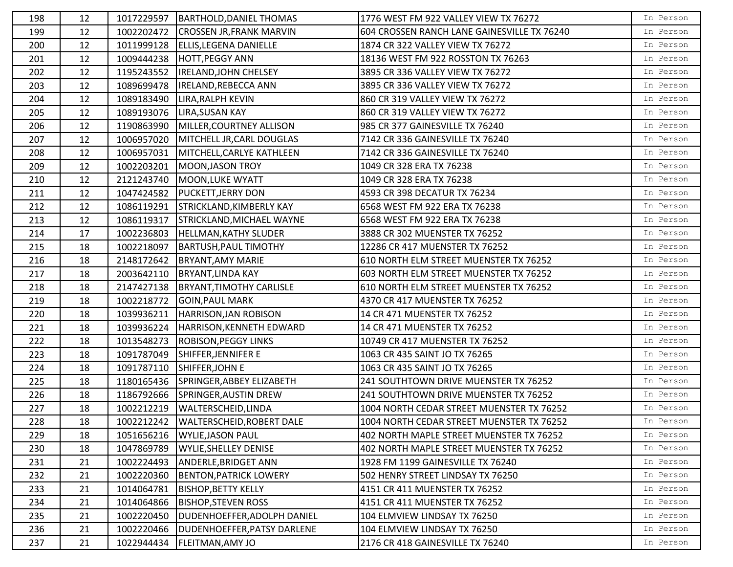| 198 | 12 |            | 1017229597   BARTHOLD, DANIEL THOMAS   | 1776 WEST FM 922 VALLEY VIEW TX 76272       | In Person |
|-----|----|------------|----------------------------------------|---------------------------------------------|-----------|
| 199 | 12 | 1002202472 | <b>CROSSEN JR, FRANK MARVIN</b>        | 604 CROSSEN RANCH LANE GAINESVILLE TX 76240 | In Person |
| 200 | 12 | 1011999128 | <b>ELLIS, LEGENA DANIELLE</b>          | 1874 CR 322 VALLEY VIEW TX 76272            | In Person |
| 201 | 12 | 1009444238 | <b>HOTT, PEGGY ANN</b>                 | 18136 WEST FM 922 ROSSTON TX 76263          | In Person |
| 202 | 12 | 1195243552 | <b>IRELAND, JOHN CHELSEY</b>           | 3895 CR 336 VALLEY VIEW TX 76272            | In Person |
| 203 | 12 | 1089699478 | <b>IRELAND, REBECCA ANN</b>            | 3895 CR 336 VALLEY VIEW TX 76272            | In Person |
| 204 | 12 | 1089183490 | <b>LIRA, RALPH KEVIN</b>               | 860 CR 319 VALLEY VIEW TX 76272             | In Person |
| 205 | 12 | 1089193076 | <b>LIRA, SUSAN KAY</b>                 | 860 CR 319 VALLEY VIEW TX 76272             | In Person |
| 206 | 12 | 1190863990 | MILLER, COURTNEY ALLISON               | 985 CR 377 GAINESVILLE TX 76240             | In Person |
| 207 | 12 | 1006957020 | MITCHELL JR, CARL DOUGLAS              | 7142 CR 336 GAINESVILLE TX 76240            | In Person |
| 208 | 12 | 1006957031 | MITCHELL, CARLYE KATHLEEN              | 7142 CR 336 GAINESVILLE TX 76240            | In Person |
| 209 | 12 | 1002203201 | MOON, JASON TROY                       | 1049 CR 328 ERA TX 76238                    | In Person |
| 210 | 12 | 2121243740 | MOON, LUKE WYATT                       | 1049 CR 328 ERA TX 76238                    | In Person |
| 211 | 12 | 1047424582 | <b>PUCKETT, JERRY DON</b>              | 4593 CR 398 DECATUR TX 76234                | In Person |
| 212 | 12 | 1086119291 | STRICKLAND, KIMBERLY KAY               | 6568 WEST FM 922 ERA TX 76238               | In Person |
| 213 | 12 | 1086119317 | STRICKLAND, MICHAEL WAYNE              | 6568 WEST FM 922 ERA TX 76238               | In Person |
| 214 | 17 | 1002236803 | <b>HELLMAN, KATHY SLUDER</b>           | 3888 CR 302 MUENSTER TX 76252               | In Person |
| 215 | 18 | 1002218097 | BARTUSH, PAUL TIMOTHY                  | 12286 CR 417 MUENSTER TX 76252              | In Person |
| 216 | 18 | 2148172642 | <b>BRYANT, AMY MARIE</b>               | 610 NORTH ELM STREET MUENSTER TX 76252      | In Person |
| 217 | 18 | 2003642110 | <b>BRYANT, LINDA KAY</b>               | 603 NORTH ELM STREET MUENSTER TX 76252      | In Person |
| 218 | 18 | 2147427138 | BRYANT, TIMOTHY CARLISLE               | 610 NORTH ELM STREET MUENSTER TX 76252      | In Person |
| 219 | 18 | 1002218772 | <b>GOIN, PAUL MARK</b>                 | 4370 CR 417 MUENSTER TX 76252               | In Person |
| 220 | 18 | 1039936211 | HARRISON, JAN ROBISON                  | 14 CR 471 MUENSTER TX 76252                 | In Person |
| 221 | 18 | 1039936224 | HARRISON, KENNETH EDWARD               | 14 CR 471 MUENSTER TX 76252                 | In Person |
| 222 | 18 | 1013548273 | <b>ROBISON, PEGGY LINKS</b>            | 10749 CR 417 MUENSTER TX 76252              | In Person |
| 223 | 18 | 1091787049 | SHIFFER, JENNIFER E                    | 1063 CR 435 SAINT JO TX 76265               | In Person |
| 224 | 18 | 1091787110 | SHIFFER, JOHN E                        | 1063 CR 435 SAINT JO TX 76265               | In Person |
| 225 | 18 | 1180165436 | SPRINGER, ABBEY ELIZABETH              | 241 SOUTHTOWN DRIVE MUENSTER TX 76252       | In Person |
| 226 | 18 | 1186792666 | SPRINGER, AUSTIN DREW                  | 241 SOUTHTOWN DRIVE MUENSTER TX 76252       | In Person |
| 227 | 18 | 1002212219 | WALTERSCHEID, LINDA                    | 1004 NORTH CEDAR STREET MUENSTER TX 76252   | In Person |
| 228 | 18 |            | 1002212242   WALTERSCHEID, ROBERT DALE | 1004 NORTH CEDAR STREET MUENSTER TX 76252   | In Person |
| 229 | 18 | 1051656216 | <b>WYLIE, JASON PAUL</b>               | 402 NORTH MAPLE STREET MUENSTER TX 76252    | In Person |
| 230 | 18 | 1047869789 | <b>WYLIE, SHELLEY DENISE</b>           | 402 NORTH MAPLE STREET MUENSTER TX 76252    | In Person |
| 231 | 21 | 1002224493 | ANDERLE, BRIDGET ANN                   | 1928 FM 1199 GAINESVILLE TX 76240           | In Person |
| 232 | 21 | 1002220360 | <b>BENTON, PATRICK LOWERY</b>          | 502 HENRY STREET LINDSAY TX 76250           | In Person |
| 233 | 21 | 1014064781 | <b>BISHOP, BETTY KELLY</b>             | 4151 CR 411 MUENSTER TX 76252               | In Person |
| 234 | 21 | 1014064866 | <b>BISHOP, STEVEN ROSS</b>             | 4151 CR 411 MUENSTER TX 76252               | In Person |
| 235 | 21 | 1002220450 | DUDENHOEFFER, ADOLPH DANIEL            | 104 ELMVIEW LINDSAY TX 76250                | In Person |
| 236 | 21 | 1002220466 | DUDENHOEFFER, PATSY DARLENE            | 104 ELMVIEW LINDSAY TX 76250                | In Person |
| 237 | 21 | 1022944434 | <b>FLEITMAN, AMY JO</b>                | 2176 CR 418 GAINESVILLE TX 76240            | In Person |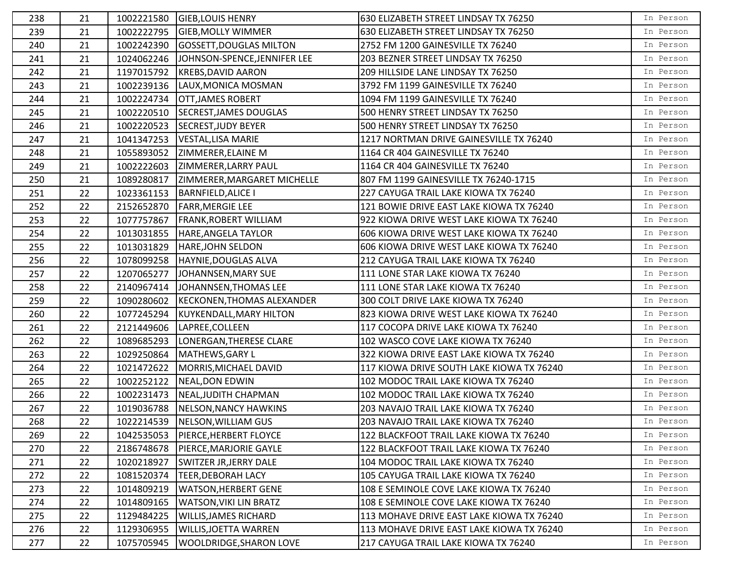| 238 | 21 |            | 1002221580 GIEB, LOUIS HENRY       | 630 ELIZABETH STREET LINDSAY TX 76250     | In Person |
|-----|----|------------|------------------------------------|-------------------------------------------|-----------|
| 239 | 21 | 1002222795 | <b>GIEB, MOLLY WIMMER</b>          | 630 ELIZABETH STREET LINDSAY TX 76250     | In Person |
| 240 | 21 | 1002242390 | <b>GOSSETT, DOUGLAS MILTON</b>     | 2752 FM 1200 GAINESVILLE TX 76240         | In Person |
| 241 | 21 | 1024062246 | JOHNSON-SPENCE, JENNIFER LEE       | 203 BEZNER STREET LINDSAY TX 76250        | In Person |
| 242 | 21 | 1197015792 | <b>KREBS, DAVID AARON</b>          | 209 HILLSIDE LANE LINDSAY TX 76250        | In Person |
| 243 | 21 | 1002239136 | LAUX, MONICA MOSMAN                | 3792 FM 1199 GAINESVILLE TX 76240         | In Person |
| 244 | 21 | 1002224734 | <b>OTT, JAMES ROBERT</b>           | 1094 FM 1199 GAINESVILLE TX 76240         | In Person |
| 245 | 21 | 1002220510 | SECREST, JAMES DOUGLAS             | 500 HENRY STREET LINDSAY TX 76250         | In Person |
| 246 | 21 | 1002220523 | <b>SECREST, JUDY BEYER</b>         | 500 HENRY STREET LINDSAY TX 76250         | In Person |
| 247 | 21 | 1041347253 | VESTAL, LISA MARIE                 | 1217 NORTMAN DRIVE GAINESVILLE TX 76240   | In Person |
| 248 | 21 | 1055893052 | <b>ZIMMERER, ELAINE M</b>          | 1164 CR 404 GAINESVILLE TX 76240          | In Person |
| 249 | 21 | 1002222603 | <b>ZIMMERER, LARRY PAUL</b>        | 1164 CR 404 GAINESVILLE TX 76240          | In Person |
| 250 | 21 | 1089280817 | <b>ZIMMERER, MARGARET MICHELLE</b> | 807 FM 1199 GAINESVILLE TX 76240-1715     | In Person |
| 251 | 22 | 1023361153 | <b>BARNFIELD, ALICE I</b>          | 227 CAYUGA TRAIL LAKE KIOWA TX 76240      | In Person |
| 252 | 22 | 2152652870 | <b>FARR, MERGIE LEE</b>            | 121 BOWIE DRIVE EAST LAKE KIOWA TX 76240  | In Person |
| 253 | 22 | 1077757867 | <b>FRANK, ROBERT WILLIAM</b>       | 922 KIOWA DRIVE WEST LAKE KIOWA TX 76240  | In Person |
| 254 | 22 | 1013031855 | HARE, ANGELA TAYLOR                | 606 KIOWA DRIVE WEST LAKE KIOWA TX 76240  | In Person |
| 255 | 22 | 1013031829 | HARE, JOHN SELDON                  | 606 KIOWA DRIVE WEST LAKE KIOWA TX 76240  | In Person |
| 256 | 22 | 1078099258 | HAYNIE, DOUGLAS ALVA               | 212 CAYUGA TRAIL LAKE KIOWA TX 76240      | In Person |
| 257 | 22 | 1207065277 | JOHANNSEN, MARY SUE                | 111 LONE STAR LAKE KIOWA TX 76240         | In Person |
| 258 | 22 | 2140967414 | JOHANNSEN, THOMAS LEE              | 111 LONE STAR LAKE KIOWA TX 76240         | In Person |
| 259 | 22 | 1090280602 | <b>KECKONEN, THOMAS ALEXANDER</b>  | 300 COLT DRIVE LAKE KIOWA TX 76240        | In Person |
| 260 | 22 | 1077245294 | KUYKENDALL, MARY HILTON            | 823 KIOWA DRIVE WEST LAKE KIOWA TX 76240  | In Person |
| 261 | 22 | 2121449606 | LAPREE, COLLEEN                    | 117 COCOPA DRIVE LAKE KIOWA TX 76240      | In Person |
| 262 | 22 | 1089685293 | LONERGAN, THERESE CLARE            | 102 WASCO COVE LAKE KIOWA TX 76240        | In Person |
| 263 | 22 | 1029250864 | MATHEWS, GARY L                    | 322 KIOWA DRIVE EAST LAKE KIOWA TX 76240  | In Person |
| 264 | 22 | 1021472622 | MORRIS, MICHAEL DAVID              | 117 KIOWA DRIVE SOUTH LAKE KIOWA TX 76240 | In Person |
| 265 | 22 | 1002252122 | NEAL, DON EDWIN                    | 102 MODOC TRAIL LAKE KIOWA TX 76240       | In Person |
| 266 | 22 | 1002231473 | NEAL, JUDITH CHAPMAN               | 102 MODOC TRAIL LAKE KIOWA TX 76240       | In Person |
| 267 | 22 | 1019036788 | NELSON, NANCY HAWKINS              | 203 NAVAJO TRAIL LAKE KIOWA TX 76240      | In Person |
| 268 | 22 |            | 1022214539 NELSON, WILLIAM GUS     | 203 NAVAJO TRAIL LAKE KIOWA TX 76240      | In Person |
| 269 | 22 | 1042535053 | <b>PIERCE, HERBERT FLOYCE</b>      | 122 BLACKFOOT TRAIL LAKE KIOWA TX 76240   | In Person |
| 270 | 22 | 2186748678 | <b>PIERCE, MARJORIE GAYLE</b>      | 122 BLACKFOOT TRAIL LAKE KIOWA TX 76240   | In Person |
| 271 | 22 | 1020218927 | <b>SWITZER JR, JERRY DALE</b>      | 104 MODOC TRAIL LAKE KIOWA TX 76240       | In Person |
| 272 | 22 | 1081520374 | <b>TEER, DEBORAH LACY</b>          | 105 CAYUGA TRAIL LAKE KIOWA TX 76240      | In Person |
| 273 | 22 | 1014809219 | <b>WATSON, HERBERT GENE</b>        | 108 E SEMINOLE COVE LAKE KIOWA TX 76240   | In Person |
| 274 | 22 | 1014809165 | <b>WATSON, VIKI LIN BRATZ</b>      | 108 E SEMINOLE COVE LAKE KIOWA TX 76240   | In Person |
| 275 | 22 | 1129484225 | <b>WILLIS, JAMES RICHARD</b>       | 113 MOHAVE DRIVE EAST LAKE KIOWA TX 76240 | In Person |
| 276 | 22 | 1129306955 | <b>WILLIS, JOETTA WARREN</b>       | 113 MOHAVE DRIVE EAST LAKE KIOWA TX 76240 | In Person |
| 277 | 22 | 1075705945 | <b>WOOLDRIDGE, SHARON LOVE</b>     | 217 CAYUGA TRAIL LAKE KIOWA TX 76240      | In Person |